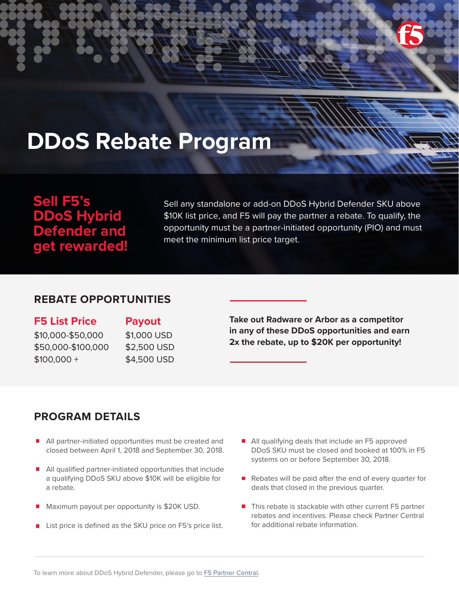

# **DDoS Rebate Program**

# **Sell F5's DDoS Hybrid Defender and get rewarded!**

Sell any standalone or add-on DDoS Hybrid Defender SKU above \$10K list price, and F5 will pay the partner a rebate. To qualify, the opportunity must be a partner-initiated opportunity (PIO) and must meet the minimum list price target.

# **REBATE OPPORTUNITIES**

**F5 List Price Payout** \$10,000-\$50,000 \$50,000-\$100,000 \$100,000 +

\$1,000 USD \$2,500 USD \$4,500 USD

**Take out Radware or Arbor as a competitor in any of these DDoS opportunities and earn 2x the rebate, up to \$20K per opportunity!**

# **PROGRAM DETAILS**

- All partner-initiated opportunities must be created and closed between April 1, 2018 and September 30, 2018.
- All qualified partner-initiated opportunities that include a qualifying DDoS SKU above \$10K will be eligible for a rebate.
- Maximum payout per opportunity is \$20K USD.
- List price is defined as the SKU price on F5's price list.
- All qualifying deals that include an F5 approved DDoS SKU must be closed and booked at 100% in F5 systems on or before September 30, 2018.
- Rebates will be paid after the end of every quarter for deals that closed in the previous quarter.
- $\blacksquare$  This rebate is stackable with other current F5 partner rebates and incentives. Please check Partner Central for additional rebate information.